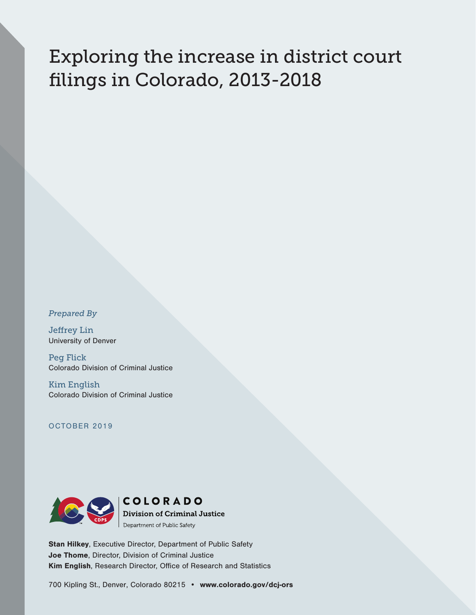# Exploring the increase in district court filings in Colorado, 2013-2018

*Prepared By*

Jeffrey Lin University of Denver

Peg Flick Colorado Division of Criminal Justice

Kim English Colorado Division of Criminal Justice

OCTOBER 2019



Stan Hilkey, Executive Director, Department of Public Safety Joe Thome, Director, Division of Criminal Justice Kim English, Research Director, Office of Research and Statistics

700 Kipling St., Denver, Colorado 80215 • [www.colorado.gov/dcj-ors](http://www.colorado.gov/dcj-ors)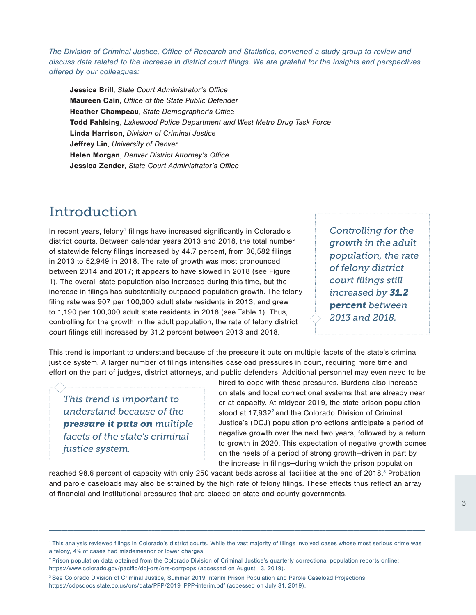*The Division of Criminal Justice, Office of Research and Statistics, convened a study group to review and discuss data related to the increase in district court filings. We are grateful for the insights and perspectives offered by our colleagues:*

Jessica Brill, *State Court Administrator's Office* Maureen Cain, *Office of the State Public Defender* Heather Champeau, *State Demographer's Offic*e Todd Fahlsing, *Lakewood Police Department and West Metro Drug Task Force* Linda Harrison, *Division of Criminal Justice* Jeffrey Lin, *University of Denver* Helen Morgan, *Denver District Attorney's Office* Jessica Zender, *State Court Administrator's Office*

# Introduction

In recent years, felony<sup>1</sup> filings have increased significantly in Colorado's district courts. Between calendar years 2013 and 2018, the total number of statewide felony filings increased by 44.7 percent, from 36,582 filings in 2013 to 52,949 in 2018. The rate of growth was most pronounced between 2014 and 2017; it appears to have slowed in 2018 (see Figure 1). The overall state population also increased during this time, but the increase in filings has substantially outpaced population growth. The felony filing rate was 907 per 100,000 adult state residents in 2013, and grew to 1,190 per 100,000 adult state residents in 2018 (see Table 1). Thus, controlling for the growth in the adult population, the rate of felony district court filings still increased by 31.2 percent between 2013 and 2018.

*Controlling for the growth in the adult population, the rate of felony district court filings still increased by 31.2 percent between 2013 and 2018.*

This trend is important to understand because of the pressure it puts on multiple facets of the state's criminal justice system. A larger number of filings intensifies caseload pressures in court, requiring more time and effort on the part of judges, district attorneys, and public defenders. Additional personnel may even need to be

*This trend is important to understand because of the pressure it puts on multiple facets of the state's criminal justice system.* 

hired to cope with these pressures. Burdens also increase on state and local correctional systems that are already near or at capacity. At midyear 2019, the state prison population stood at  $17.932<sup>2</sup>$  and the Colorado Division of Criminal Justice's (DCJ) population projections anticipate a period of negative growth over the next two years, followed by a return to growth in 2020. This expectation of negative growth comes on the heels of a period of strong growth—driven in part by the increase in filings—during which the prison population

reached 98.6 percent of capacity with only 250 vacant beds across all facilities at the end of 2018.<sup>3</sup> Probation and parole caseloads may also be strained by the high rate of felony filings. These effects thus reflect an array of financial and institutional pressures that are placed on state and county governments.

 $\Box$ 

<sup>&</sup>lt;sup>1</sup> This analysis reviewed filings in Colorado's district courts. While the vast majority of filings involved cases whose most serious crime was a felony, 4% of cases had misdemeanor or lower charges.

<sup>2</sup> Prison population data obtained from the Colorado Division of Criminal Justice's quarterly correctional population reports online: <https://www.colorado.gov/pacific/dcj-ors/ors-corrpops> (accessed on August 13, 2019).

<sup>&</sup>lt;sup>3</sup> See Colorado Division of Criminal Justice, Summer 2019 Interim Prison Population and Parole Caseload Projections: [https://cdpsdocs.state.co.us/ors/data/PPP/2019\\_PPP-interim.pdf](https://cdpsdocs.state.co.us/ors/data/PPP/2019_PPP-interim.pdf) (accessed on July 31, 2019).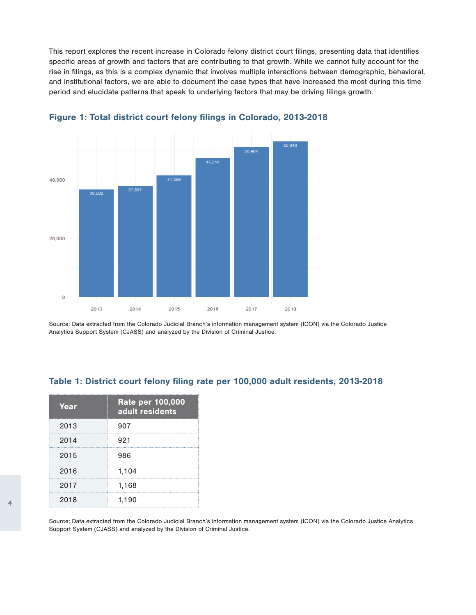This report explores the recent increase in Colorado felony district court filings, presenting data that identifies specific areas of growth and factors that are contributing to that growth. While we cannot fully account for the rise in filings, as this is a complex dynamic that involves multiple interactions between demographic, behavioral, and institutional factors, we are able to document the case types that have increased the most during this time period and elucidate patterns that speak to underlying factors that may be driving filings growth.





Source: Data extracted from the Colorado Judicial Branch's information management system (ICON) via the Colorado Justice Analytics Support System (CJASS) and analyzed by the Division of Criminal Justice.

### Table 1: District court felony filing rate per 100,000 adult residents, 2013-2018

| Year | <b>Rate per 100,000</b><br>adult residents |
|------|--------------------------------------------|
| 2013 | 907                                        |
| 2014 | 921                                        |
| 2015 | 986                                        |
| 2016 | 1,104                                      |
| 2017 | 1,168                                      |
| 2018 | 1,190                                      |

Source: Data extracted from the Colorado Judicial Branch's information management system (ICON) via the Colorado Justice Analytics Support System (CJASS) and analyzed by the Division of Criminal Justice.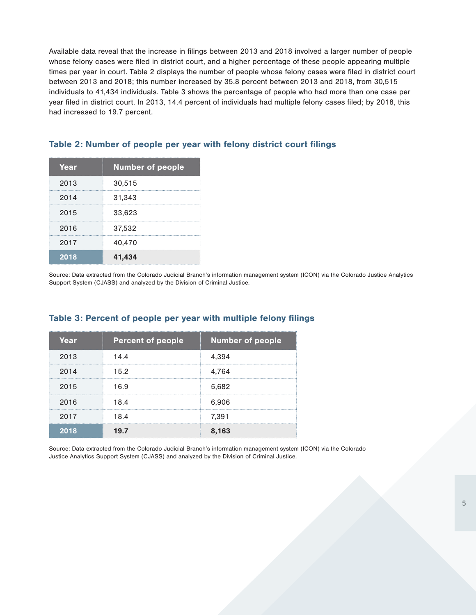Available data reveal that the increase in filings between 2013 and 2018 involved a larger number of people whose felony cases were filed in district court, and a higher percentage of these people appearing multiple times per year in court. Table 2 displays the number of people whose felony cases were filed in district court between 2013 and 2018; this number increased by 35.8 percent between 2013 and 2018, from 30,515 individuals to 41,434 individuals. Table 3 shows the percentage of people who had more than one case per year filed in district court. In 2013, 14.4 percent of individuals had multiple felony cases filed; by 2018, this had increased to 19.7 percent.

| Year | <b>Number of people</b> |
|------|-------------------------|
| 2013 | 30,515                  |
| 2014 | 31,343                  |
| 2015 | 33,623                  |
| 2016 | 37,532                  |
| 2017 | 40,470                  |
| 2018 | 41,434                  |

### Table 2: Number of people per year with felony district court filings

Source: Data extracted from the Colorado Judicial Branch's information management system (ICON) via the Colorado Justice Analytics Support System (CJASS) and analyzed by the Division of Criminal Justice.

| Year | <b>Percent of people</b> | <b>Number of people</b> |
|------|--------------------------|-------------------------|
| 2013 | 14.4                     | 4,394                   |
| 2014 | 15.2                     | 4,764                   |
| 2015 | 16.9                     | 5,682                   |
| 2016 | 18.4                     | 6,906                   |
| 2017 | 18.4                     | 7,391                   |
| 2018 | 19.7                     | 8.163                   |

### Table 3: Percent of people per year with multiple felony filings

Source: Data extracted from the Colorado Judicial Branch's information management system (ICON) via the Colorado Justice Analytics Support System (CJASS) and analyzed by the Division of Criminal Justice.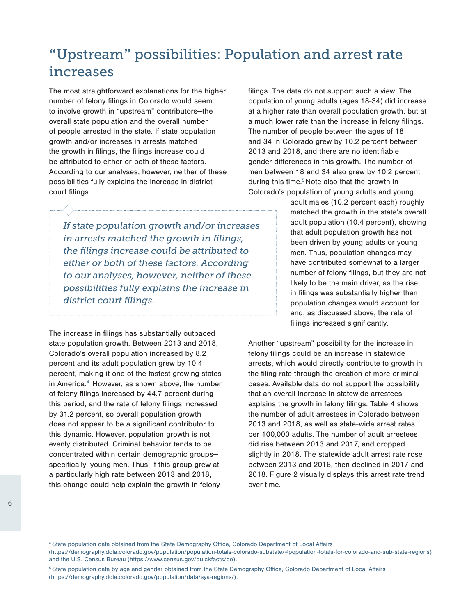# "Upstream" possibilities: Population and arrest rate increases

The most straightforward explanations for the higher number of felony filings in Colorado would seem to involve growth in "upstream" contributors—the overall state population and the overall number of people arrested in the state. If state population growth and/or increases in arrests matched the growth in filings, the filings increase could be attributed to either or both of these factors. According to our analyses, however, neither of these possibilities fully explains the increase in district court filings.

*If state population growth and/or increases in arrests matched the growth in filings, the filings increase could be attributed to either or both of these factors. According to our analyses, however, neither of these possibilities fully explains the increase in district court filings.*

The increase in filings has substantially outpaced state population growth. Between 2013 and 2018, Colorado's overall population increased by 8.2 percent and its adult population grew by 10.4 percent, making it one of the fastest growing states in America.<sup>4</sup> However, as shown above, the number of felony filings increased by 44.7 percent during this period, and the rate of felony filings increased by 31.2 percent, so overall population growth does not appear to be a significant contributor to this dynamic. However, population growth is not evenly distributed. Criminal behavior tends to be concentrated within certain demographic groups specifically, young men. Thus, if this group grew at a particularly high rate between 2013 and 2018, this change could help explain the growth in felony

filings. The data do not support such a view. The population of young adults (ages 18-34) did increase at a higher rate than overall population growth, but at a much lower rate than the increase in felony filings. The number of people between the ages of 18 and 34 in Colorado grew by 10.2 percent between 2013 and 2018, and there are no identifiable gender differences in this growth. The number of men between 18 and 34 also grew by 10.2 percent during this time.<sup>5</sup> Note also that the growth in Colorado's population of young adults and young

> adult males (10.2 percent each) roughly matched the growth in the state's overall adult population (10.4 percent), showing that adult population growth has not been driven by young adults or young men. Thus, population changes may have contributed somewhat to a larger number of felony filings, but they are not likely to be the main driver, as the rise in filings was substantially higher than population changes would account for and, as discussed above, the rate of filings increased significantly.

Another "upstream" possibility for the increase in felony filings could be an increase in statewide arrests, which would directly contribute to growth in the filing rate through the creation of more criminal cases. Available data do not support the possibility that an overall increase in statewide arrestees explains the growth in felony filings. Table 4 shows the number of adult arrestees in Colorado between 2013 and 2018, as well as state-wide arrest rates per 100,000 adults. The number of adult arrestees did rise between 2013 and 2017, and dropped slightly in 2018. The statewide adult arrest rate rose between 2013 and 2016, then declined in 2017 and 2018. Figure 2 visually displays this arrest rate trend over time.

4 State population data obtained from the State Demography Office, Colorado Department of Local Affairs

([https://demography.dola.colorado.gov/population/population-totals-colorado-substate/#population-totals-for-colorado-and-sub-state-regions\)](https://demography.dola.colorado.gov/population/population-totals-colorado-substate/#population-totals-for-colorado-and-sub-state-regions) and the U.S. Census Bureau (<https://www.census.gov/quickfacts/co>).

\_\_\_\_\_\_\_\_\_\_\_\_\_\_\_\_\_\_\_\_\_\_\_\_\_\_\_\_\_\_\_\_\_\_\_\_\_\_\_\_\_\_\_\_\_\_\_\_\_\_\_\_\_\_\_\_\_\_\_\_\_\_\_\_\_\_\_\_\_\_\_\_\_\_\_\_\_\_\_\_\_\_\_\_\_\_\_\_\_\_\_\_\_\_\_\_\_\_\_\_\_\_\_\_\_\_\_\_\_\_\_\_\_\_\_\_\_\_\_\_\_\_\_

<sup>5</sup> State population data by age and gender obtained from the State Demography Office, Colorado Department of Local Affairs (<https://demography.dola.colorado.gov/population/data/sya-regions/>).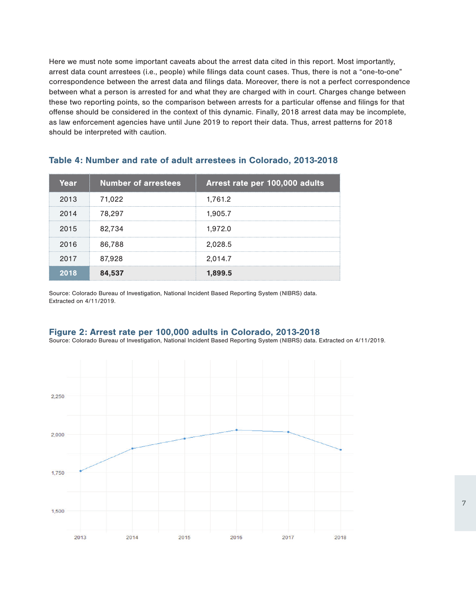Here we must note some important caveats about the arrest data cited in this report. Most importantly, arrest data count arrestees (i.e., people) while filings data count cases. Thus, there is not a "one-to-one" correspondence between the arrest data and filings data. Moreover, there is not a perfect correspondence between what a person is arrested for and what they are charged with in court. Charges change between these two reporting points, so the comparison between arrests for a particular offense and filings for that offense should be considered in the context of this dynamic. Finally, 2018 arrest data may be incomplete, as law enforcement agencies have until June 2019 to report their data. Thus, arrest patterns for 2018 should be interpreted with caution.

| Year | <b>Number of arrestees</b> | Arrest rate per 100,000 adults |
|------|----------------------------|--------------------------------|
| 2013 | 71,022                     | 1,761.2                        |
| 2014 | 78,297                     | 1,905.7                        |
| 2015 | 82,734                     | 1,972.0                        |
| 2016 | 86,788                     | 2,028.5                        |
| 2017 | 87,928                     | 2,014.7                        |
| 2018 | 84.537                     | 1.899.5                        |

### Table 4: Number and rate of adult arrestees in Colorado, 2013-2018

Source: Colorado Bureau of Investigation, National Incident Based Reporting System (NIBRS) data. Extracted on 4/11/2019.

### Figure 2: Arrest rate per 100,000 adults in Colorado, 2013-2018

Source: Colorado Bureau of Investigation, National Incident Based Reporting System (NIBRS) data. Extracted on 4/11/2019.

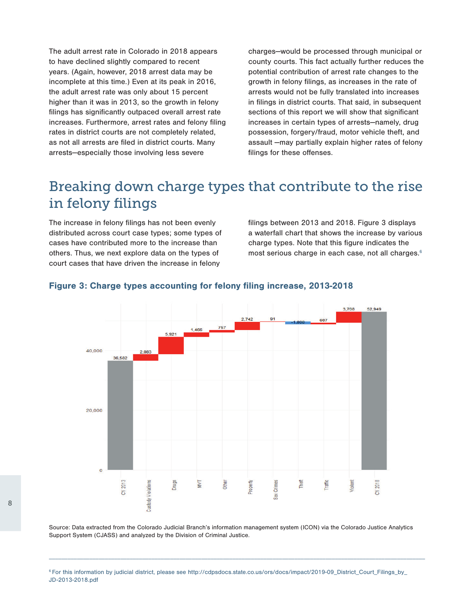The adult arrest rate in Colorado in 2018 appears to have declined slightly compared to recent years. (Again, however, 2018 arrest data may be incomplete at this time.) Even at its peak in 2016, the adult arrest rate was only about 15 percent higher than it was in 2013, so the growth in felony filings has significantly outpaced overall arrest rate increases. Furthermore, arrest rates and felony filing rates in district courts are not completely related, as not all arrests are filed in district courts. Many arrests—especially those involving less severe

charges—would be processed through municipal or county courts. This fact actually further reduces the potential contribution of arrest rate changes to the growth in felony filings, as increases in the rate of arrests would not be fully translated into increases in filings in district courts. That said, in subsequent sections of this report we will show that significant increases in certain types of arrests—namely, drug possession, forgery/fraud, motor vehicle theft, and assault —may partially explain higher rates of felony filings for these offenses.

# Breaking down charge types that contribute to the rise in felony filings

The increase in felony filings has not been evenly distributed across court case types; some types of cases have contributed more to the increase than others. Thus, we next explore data on the types of court cases that have driven the increase in felony

filings between 2013 and 2018. Figure 3 displays a waterfall chart that shows the increase by various charge types. Note that this figure indicates the most serious charge in each case, not all charges.<sup>6</sup>



### Figure 3: Charge types accounting for felony filing increase, 2013-2018

Source: Data extracted from the Colorado Judicial Branch's information management system (ICON) via the Colorado Justice Analytics Support System (CJASS) and analyzed by the Division of Criminal Justice.

<sup>6</sup> For this information by judicial district, please see [http://cdpsdocs.state.co.us/ors/docs/impact/2019-09\\_District\\_Court\\_Filings\\_by\\_](http://cdpsdocs.state.co.us/ors/docs/impact/2019-09_District_Court_Filings_by_ JD-2013-2018.pdf) [JD-2013-2018.pdf](http://cdpsdocs.state.co.us/ors/docs/impact/2019-09_District_Court_Filings_by_ JD-2013-2018.pdf)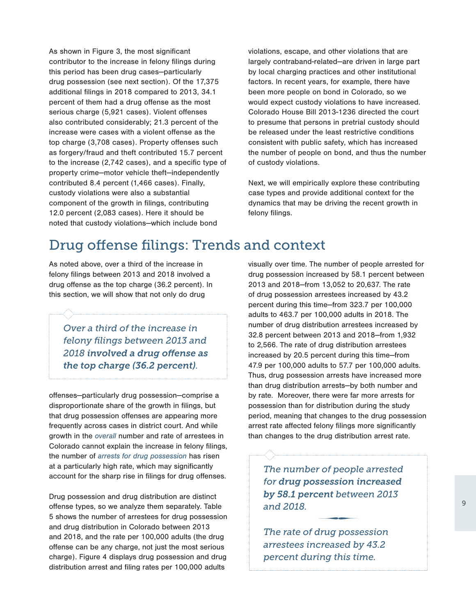As shown in Figure 3, the most significant contributor to the increase in felony filings during this period has been drug cases—particularly drug possession (see next section). Of the 17,375 additional filings in 2018 compared to 2013, 34.1 percent of them had a drug offense as the most serious charge (5,921 cases). Violent offenses also contributed considerably; 21.3 percent of the increase were cases with a violent offense as the top charge (3,708 cases). Property offenses such as forgery/fraud and theft contributed 15.7 percent to the increase (2,742 cases), and a specific type of property crime—motor vehicle theft—independently contributed 8.4 percent (1,466 cases). Finally, custody violations were also a substantial component of the growth in filings, contributing 12.0 percent (2,083 cases). Here it should be noted that custody violations—which include bond

violations, escape, and other violations that are largely contraband-related—are driven in large part by local charging practices and other institutional factors. In recent years, for example, there have been more people on bond in Colorado, so we would expect custody violations to have increased. Colorado House Bill 2013-1236 directed the court to presume that persons in pretrial custody should be released under the least restrictive conditions consistent with public safety, which has increased the number of people on bond, and thus the number of custody violations.

Next, we will empirically explore these contributing case types and provide additional context for the dynamics that may be driving the recent growth in felony filings.

# Drug offense filings: Trends and context

As noted above, over a third of the increase in felony filings between 2013 and 2018 involved a drug offense as the top charge (36.2 percent). In this section, we will show that not only do drug

*Over a third of the increase in felony filings between 2013 and 2018 involved a drug offense as the top charge (36.2 percent).* 

offenses—particularly drug possession—comprise a disproportionate share of the growth in filings, but that drug possession offenses are appearing more frequently across cases in district court. And while growth in the *overall* number and rate of arrestees in Colorado cannot explain the increase in felony filings, the number of *arrests for drug possession* has risen at a particularly high rate, which may significantly account for the sharp rise in filings for drug offenses.

Drug possession and drug distribution are distinct offense types, so we analyze them separately. Table 5 shows the number of arrestees for drug possession and drug distribution in Colorado between 2013 and 2018, and the rate per 100,000 adults (the drug offense can be any charge, not just the most serious charge). Figure 4 displays drug possession and drug distribution arrest and filing rates per 100,000 adults

visually over time. The number of people arrested for drug possession increased by 58.1 percent between 2013 and 2018—from 13,052 to 20,637. The rate of drug possession arrestees increased by 43.2 percent during this time—from 323.7 per 100,000 adults to 463.7 per 100,000 adults in 2018. The number of drug distribution arrestees increased by 32.8 percent between 2013 and 2018—from 1,932 to 2,566. The rate of drug distribution arrestees increased by 20.5 percent during this time—from 47.9 per 100,000 adults to 57.7 per 100,000 adults. Thus, drug possession arrests have increased more than drug distribution arrests—by both number and by rate. Moreover, there were far more arrests for possession than for distribution during the study period, meaning that changes to the drug possession arrest rate affected felony filings more significantly than changes to the drug distribution arrest rate.

*The number of people arrested for drug possession increased by 58.1 percent between 2013 and 2018.* ∑

*The rate of drug possession arrestees increased by 43.2 percent during this time.*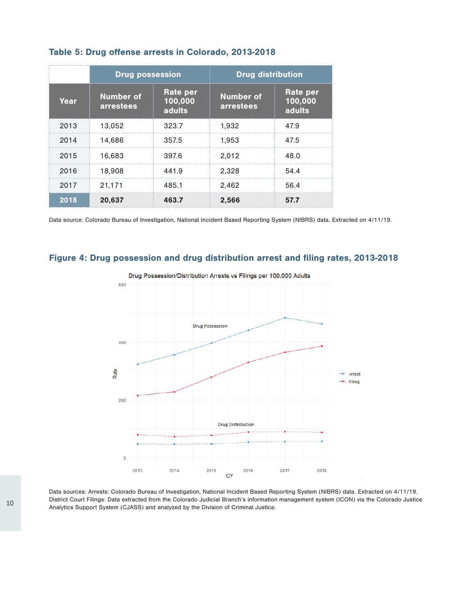|      | <b>Drug possession</b>        |                               | <b>Drug distribution</b>      |                               |
|------|-------------------------------|-------------------------------|-------------------------------|-------------------------------|
| Year | <b>Number of</b><br>arrestees | Rate per<br>100,000<br>adults | <b>Number of</b><br>arrestees | Rate per<br>100,000<br>adults |
| 2013 | 13.052                        | 323.7                         | 1.932                         | 47.9                          |
| 2014 | 14.686                        | 357.5                         | 1.953                         | 47.5                          |
| 2015 | 16.683                        | 397.6                         | 2.012                         | 48.0                          |
| 2016 | 18,908                        | 441.9                         | 2.328                         | 54.4                          |
| 2017 | 21,171                        | 485.1                         | 2.462                         | 56.4                          |
| 2018 | 20,637                        | 463.7                         | 2,566                         | 577                           |

### Table 5: Drug offense arrests in Colorado, 2013-2018

Data source: Colorado Bureau of Investigation, National Incident Based Reporting System (NIBRS) data. Extracted on 4/11/19.

### Figure 4: Drug possession and drug distribution arrest and filing rates, 2013-2018



Data sources: Arrests: Colorado Bureau of Investigation, National Incident Based Reporting System (NIBRS) data. Extracted on 4/11/19. District Court Filings: Data extracted from the Colorado Judicial Branch's information management system (ICON) via the Colorado Justice Analytics Support System (CJASS) and analyzed by the Division of Criminal Justice.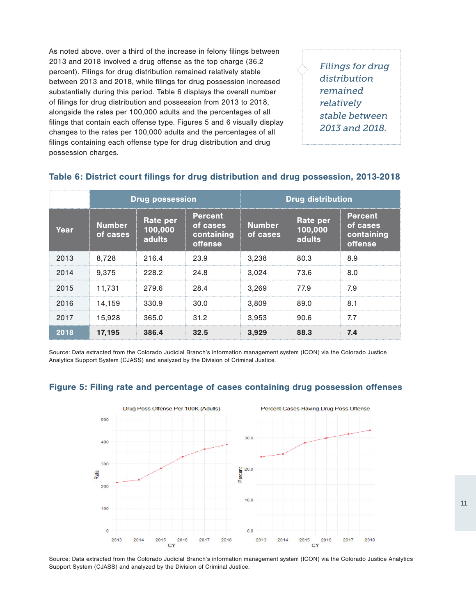As noted above, over a third of the increase in felony filings between 2013 and 2018 involved a drug offense as the top charge (36.2 percent). Filings for drug distribution remained relatively stable between 2013 and 2018, while filings for drug possession increased substantially during this period. Table 6 displays the overall number of filings for drug distribution and possession from 2013 to 2018, alongside the rates per 100,000 adults and the percentages of all filings that contain each offense type. Figures 5 and 6 visually display changes to the rates per 100,000 adults and the percentages of all filings containing each offense type for drug distribution and drug possession charges.

*Filings for drug distribution remained relatively stable between 2013 and 2018.*

|      | <b>Drug possession</b>    |                                             |                                                     |                           | <b>Drug distribution</b>             |                                                            |
|------|---------------------------|---------------------------------------------|-----------------------------------------------------|---------------------------|--------------------------------------|------------------------------------------------------------|
| Year | <b>Number</b><br>of cases | <b>Rate per</b><br>100,000<br><b>adults</b> | <b>Percent</b><br>of cases<br>containing<br>offense | <b>Number</b><br>of cases | Rate per<br>100,000<br><b>adults</b> | <b>Percent</b><br>of cases<br>containing<br><b>offense</b> |
| 2013 | 8.728                     | 216.4                                       | 23.9                                                | 3.238                     | 80.3                                 | 8.9                                                        |
| 2014 | 9.375                     | 228.2                                       | 24.8                                                | 3.024                     | 73.6                                 | 8.0                                                        |
| 2015 | 11.731                    | 279.6                                       | 28.4                                                | 3.269                     | 779                                  | 7.9                                                        |
| 2016 | 14.159                    | 330.9                                       | 30.0                                                | 3.809                     | 89.0                                 | 8.1                                                        |
| 2017 | 15.928                    | 365.0                                       | 31.2                                                | 3.953                     | 90.6                                 | 7.7                                                        |
| 2018 | 17,195                    | 386.4                                       | 32.5                                                | 3.929                     | 88.3                                 | 7.4                                                        |

### Table 6: District court filings for drug distribution and drug possession, 2013-2018

Source: Data extracted from the Colorado Judicial Branch's information management system (ICON) via the Colorado Justice Analytics Support System (CJASS) and analyzed by the Division of Criminal Justice.

### Figure 5: Filing rate and percentage of cases containing drug possession offenses



Source: Data extracted from the Colorado Judicial Branch's information management system (ICON) via the Colorado Justice Analytics Support System (CJASS) and analyzed by the Division of Criminal Justice.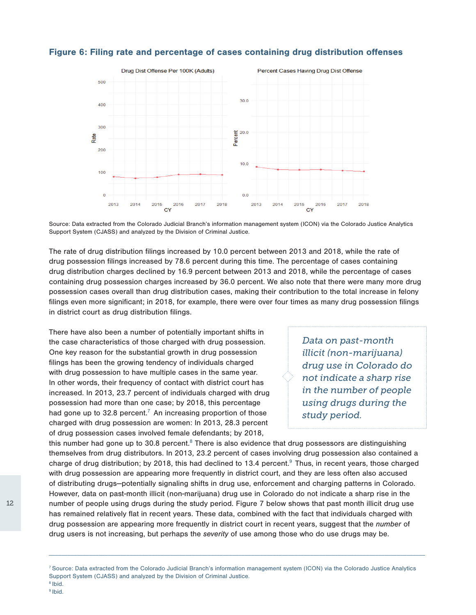

### Figure 6: Filing rate and percentage of cases containing drug distribution offenses

Source: Data extracted from the Colorado Judicial Branch's information management system (ICON) via the Colorado Justice Analytics Support System (CJASS) and analyzed by the Division of Criminal Justice.

The rate of drug distribution filings increased by 10.0 percent between 2013 and 2018, while the rate of drug possession filings increased by 78.6 percent during this time. The percentage of cases containing drug distribution charges declined by 16.9 percent between 2013 and 2018, while the percentage of cases containing drug possession charges increased by 36.0 percent. We also note that there were many more drug possession cases overall than drug distribution cases, making their contribution to the total increase in felony filings even more significant; in 2018, for example, there were over four times as many drug possession filings in district court as drug distribution filings.

There have also been a number of potentially important shifts in the case characteristics of those charged with drug possession. One key reason for the substantial growth in drug possession filings has been the growing tendency of individuals charged with drug possession to have multiple cases in the same year. In other words, their frequency of contact with district court has increased. In 2013, 23.7 percent of individuals charged with drug possession had more than one case; by 2018, this percentage had gone up to 32.8 percent.<sup>7</sup> An increasing proportion of those charged with drug possession are women: In 2013, 28.3 percent of drug possession cases involved female defendants; by 2018,

*Data on past-month illicit (non-marijuana) drug use in Colorado do not indicate a sharp rise in the number of people using drugs during the study period.*

this number had gone up to 30.8 percent. $^8$  There is also evidence that drug possessors are distinguishing themselves from drug distributors. In 2013, 23.2 percent of cases involving drug possession also contained a charge of drug distribution; by 2018, this had declined to 13.4 percent.<sup>9</sup> Thus, in recent years, those charged with drug possession are appearing more frequently in district court, and they are less often also accused of distributing drugs—potentially signaling shifts in drug use, enforcement and charging patterns in Colorado. However, data on past-month illicit (non-marijuana) drug use in Colorado do not indicate a sharp rise in the number of people using drugs during the study period. Figure 7 below shows that past month illicit drug use has remained relatively flat in recent years. These data, combined with the fact that individuals charged with drug possession are appearing more frequently in district court in recent years, suggest that the *number* of drug users is not increasing, but perhaps the *severity* of use among those who do use drugs may be.

\_\_\_\_\_\_\_\_\_\_\_\_\_\_\_\_\_\_\_\_\_\_\_\_\_\_\_\_\_\_\_\_\_\_\_\_\_\_\_\_\_\_\_\_\_\_\_\_\_\_\_\_\_\_\_\_\_\_\_\_\_\_\_\_\_\_\_\_\_\_\_\_\_\_\_\_\_\_\_\_\_\_\_\_\_\_\_\_\_\_\_\_\_\_\_\_\_\_\_\_\_\_\_\_\_\_\_\_\_\_\_\_\_\_\_\_\_\_\_\_\_

12

<sup>7</sup> Source: Data extracted from the Colorado Judicial Branch's information management system (ICON) via the Colorado Justice Analytics Support System (CJASS) and analyzed by the Division of Criminal Justice.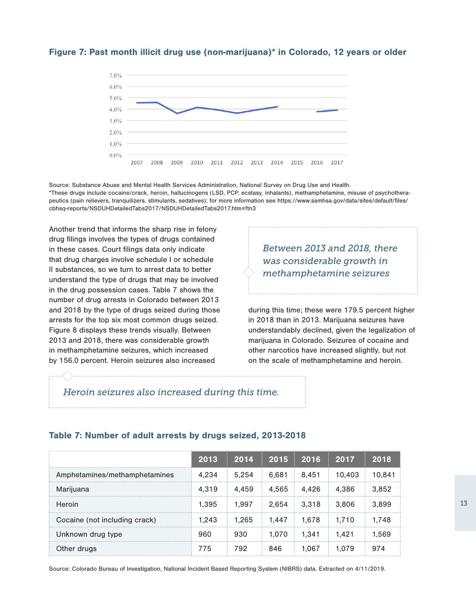### Figure 7: Past month illicit drug use (non-marijuana)\* in Colorado, 12 years or older



Source: Substance Abuse and Mental Health Services Administration, National Survey on Drug Use and Health. \*These drugs include cocaine/crack, heroin, hallucinogens (LSD, PCP, ecstasy, inhalants), methamphetamine, misuse of psychotherapeutics (pain relievers, tranquilizers, stimulants, sedatives); for more information see [https://www.samhsa.gov/data/sites/default/files/](https://www.samhsa.gov/data/sites/default/files/cbhsq-reports/NSDUHDetailedTabs2017/NSDUHDetailedTab) [cbhsq-reports/NSDUHDetailedTabs2017/NSDUHDetailedTabs2017.htm#ftn3](https://www.samhsa.gov/data/sites/default/files/cbhsq-reports/NSDUHDetailedTabs2017/NSDUHDetailedTab)

Another trend that informs the sharp rise in felony drug filings involves the types of drugs contained in these cases. Court filings data only indicate that drug charges involve schedule I or schedule II substances, so we turn to arrest data to better understand the type of drugs that may be involved in the drug possession cases. Table 7 shows the number of drug arrests in Colorado between 2013 and 2018 by the type of drugs seized during those arrests for the top six most common drugs seized. Figure 8 displays these trends visually. Between 2013 and 2018, there was considerable growth in methamphetamine seizures, which increased by 156.0 percent. Heroin seizures also increased

*Between 2013 and 2018, there was considerable growth in methamphetamine seizures*

during this time; these were 179.5 percent higher in 2018 than in 2013. Marijuana seizures have understandably declined, given the legalization of marijuana in Colorado. Seizures of cocaine and other narcotics have increased slightly, but not on the scale of methamphetamine and heroin.

### *Heroin seizures also increased during this time.*

### Table 7: Number of adult arrests by drugs seized, 2013-2018

|                               | 2013  | 2014  |       | 2015 2016   | 2017   | 2018   |
|-------------------------------|-------|-------|-------|-------------|--------|--------|
| Amphetamines/methamphetamines | 4.234 | 5.254 | 6.681 | 8.451       | 10.403 | 10.841 |
| Marijuana                     | 4.319 | 4.459 |       | 4.565 4.426 | 4.386  | 3,852  |
| Heroin                        | 1.395 | 1.997 |       | 2.654 3.318 | 3.806  | 3.899  |
| Cocaine (not including crack) | 1.243 | 1.265 |       | 1.447 1.678 | 1.710  | 1.748  |
| Unknown drug type             | 960   | 930   | 1.070 | - 1.341     | 1.421  | 1.569  |
| Other drugs                   | 775   | 792   | 846   | .067        | 1 079  | 974    |

Source: Colorado Bureau of Investigation, National Incident Based Reporting System (NIBRS) data. Extracted on 4/11/2019.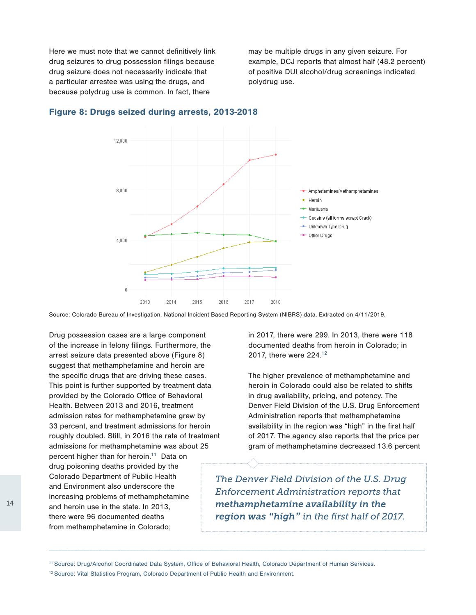Here we must note that we cannot definitively link drug seizures to drug possession filings because drug seizure does not necessarily indicate that a particular arrestee was using the drugs, and because polydrug use is common. In fact, there

may be multiple drugs in any given seizure. For example, DCJ reports that almost half (48.2 percent) of positive DUI alcohol/drug screenings indicated polydrug use.



#### Figure 8: Drugs seized during arrests, 2013-2018

Source: Colorado Bureau of Investigation, National Incident Based Reporting System (NIBRS) data. Extracted on 4/11/2019.

Drug possession cases are a large component of the increase in felony filings. Furthermore, the arrest seizure data presented above (Figure 8) suggest that methamphetamine and heroin are the specific drugs that are driving these cases. This point is further supported by treatment data provided by the Colorado Office of Behavioral Health. Between 2013 and 2016, treatment admission rates for methamphetamine grew by 33 percent, and treatment admissions for heroin roughly doubled. Still, in 2016 the rate of treatment admissions for methamphetamine was about 25

percent higher than for heroin.<sup>11</sup> Data on drug poisoning deaths provided by the Colorado Department of Public Health and Environment also underscore the increasing problems of methamphetamine and heroin use in the state. In 2013, there were 96 documented deaths from methamphetamine in Colorado;

in 2017, there were 299. In 2013, there were 118 documented deaths from heroin in Colorado; in 2017, there were 224.12

The higher prevalence of methamphetamine and heroin in Colorado could also be related to shifts in drug availability, pricing, and potency. The Denver Field Division of the U.S. Drug Enforcement Administration reports that methamphetamine availability in the region was "high" in the first half of 2017. The agency also reports that the price per gram of methamphetamine decreased 13.6 percent

*The Denver Field Division of the U.S. Drug Enforcement Administration reports that methamphetamine availability in the region was "high" in the first half of 2017.*

<sup>11</sup> Source: Drug/Alcohol Coordinated Data System, Office of Behavioral Health, Colorado Department of Human Services.

<sup>&</sup>lt;sup>12</sup> Source: Vital Statistics Program, Colorado Department of Public Health and Environment.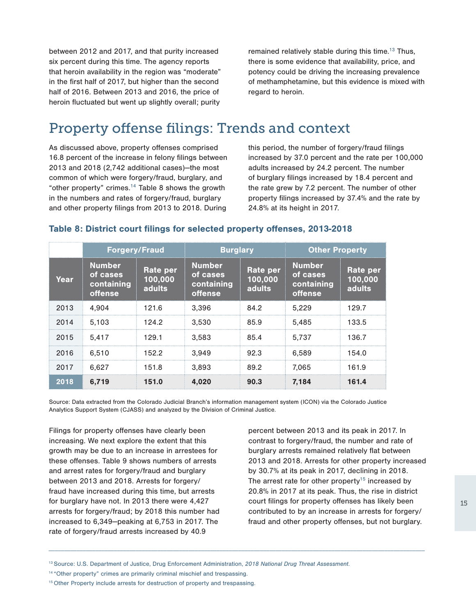between 2012 and 2017, and that purity increased six percent during this time. The agency reports that heroin availability in the region was "moderate" in the first half of 2017, but higher than the second half of 2016. Between 2013 and 2016, the price of heroin fluctuated but went up slightly overall; purity

remained relatively stable during this time.<sup>13</sup> Thus, there is some evidence that availability, price, and potency could be driving the increasing prevalence of methamphetamine, but this evidence is mixed with regard to heroin.

# Property offense filings: Trends and context

As discussed above, property offenses comprised 16.8 percent of the increase in felony filings between 2013 and 2018 (2,742 additional cases)—the most common of which were forgery/fraud, burglary, and "other property" crimes. $14$  Table 8 shows the growth in the numbers and rates of forgery/fraud, burglary and other property filings from 2013 to 2018. During

this period, the number of forgery/fraud filings increased by 37.0 percent and the rate per 100,000 adults increased by 24.2 percent. The number of burglary filings increased by 18.4 percent and the rate grew by 7.2 percent. The number of other property filings increased by 37.4% and the rate by 24.8% at its height in 2017.

|      | <b>Forgery/Fraud</b>                                      |                                      | <b>Burglary</b>                                           |                                      | <b>Other Property</b>                                     |                                             |
|------|-----------------------------------------------------------|--------------------------------------|-----------------------------------------------------------|--------------------------------------|-----------------------------------------------------------|---------------------------------------------|
| Year | <b>Number</b><br>of cases<br>containing<br><b>offense</b> | Rate per<br>100,000<br><b>adults</b> | <b>Number</b><br>of cases<br>containing<br><b>offense</b> | Rate per<br>100,000<br><b>adults</b> | <b>Number</b><br>of cases<br>containing<br><b>offense</b> | <b>Rate per</b><br>100,000<br><b>adults</b> |
| 2013 | 4.904                                                     | 121.6                                | 3.396                                                     | 84.2                                 | 5.229                                                     | 129.7                                       |
| 2014 | 5.103                                                     | 124.2                                | 3.530                                                     | 85.9                                 | 5.485                                                     | 133.5                                       |
| 2015 | 5.417                                                     | 129.1                                | 3.583                                                     | 85.4                                 | 5.737                                                     | 136.7                                       |
| 2016 | 6.510                                                     | 152.2                                | 3.949                                                     | 92.3                                 | 6.589                                                     | 154.0                                       |
| 2017 | 6.627                                                     | 151.8                                | 3.893                                                     | 89.2                                 | 7.065                                                     | 161.9                                       |
| 2018 | 6.719                                                     | 151.0                                | 4.020                                                     | 90.3                                 | 7.184                                                     | 161.4                                       |

### Table 8: District court filings for selected property offenses, 2013-2018

Source: Data extracted from the Colorado Judicial Branch's information management system (ICON) via the Colorado Justice Analytics Support System (CJASS) and analyzed by the Division of Criminal Justice.

Filings for property offenses have clearly been increasing. We next explore the extent that this growth may be due to an increase in arrestees for these offenses. Table 9 shows numbers of arrests and arrest rates for forgery/fraud and burglary between 2013 and 2018. Arrests for forgery/ fraud have increased during this time, but arrests for burglary have not. In 2013 there were 4,427 arrests for forgery/fraud; by 2018 this number had increased to 6,349—peaking at 6,753 in 2017. The rate of forgery/fraud arrests increased by 40.9

percent between 2013 and its peak in 2017. In contrast to forgery/fraud, the number and rate of burglary arrests remained relatively flat between 2013 and 2018. Arrests for other property increased by 30.7% at its peak in 2017, declining in 2018. The arrest rate for other property<sup>15</sup> increased by 20.8% in 2017 at its peak. Thus, the rise in district court filings for property offenses has likely been contributed to by an increase in arrests for forgery/ fraud and other property offenses, but not burglary.

<sup>13</sup> Source: U.S. Department of Justice, Drug Enforcement Administration, *2018 National Drug Threat Assessment*.

<sup>&</sup>lt;sup>14</sup> "Other property" crimes are primarily criminal mischief and trespassing.

<sup>&</sup>lt;sup>15</sup> Other Property include arrests for destruction of property and trespassing.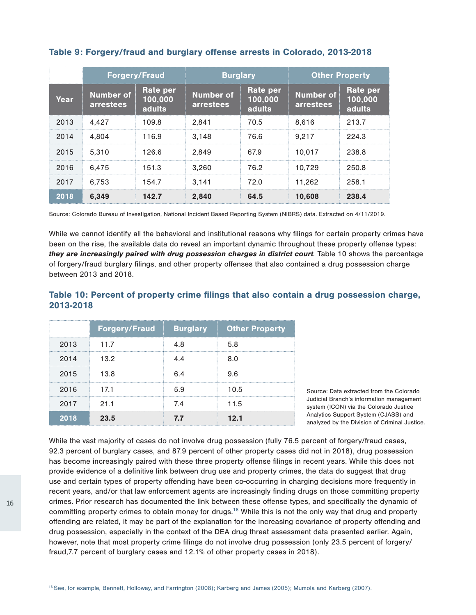|      |                                      | <b>Forgery/Fraud</b>          |                               | <b>Burglary</b>                 |                                      | <b>Other Property</b>         |  |
|------|--------------------------------------|-------------------------------|-------------------------------|---------------------------------|--------------------------------------|-------------------------------|--|
| Year | <b>Number of</b><br><b>arrestees</b> | Rate per<br>100,000<br>adults | <b>Number of</b><br>arrestees | Rate per<br> 100,000 <br>adults | <b>Number of</b><br><b>arrestees</b> | Rate per<br>100,000<br>adults |  |
| 2013 | 4.427                                | 109.8                         | 2.841                         | 70.5                            | 8.616                                | 213.7                         |  |
| 2014 | 4.804                                | 116.9                         | 3.148                         | 76.6                            | 9.217                                | 224.3                         |  |
| 2015 | 5.310                                | 126.6                         | 2.849                         | 67.9                            | 10.017                               | 238.8                         |  |
| 2016 | 6.475                                | 151.3                         | 3.260                         | 76.2                            | 10.729                               | 250.8                         |  |
| 2017 | 6.753                                | 154.7                         | 3.141                         | 72.0                            | 11.262                               | 258.1                         |  |
| 2018 | 6.349                                | 142.7                         | 2.840                         | 64.5                            | 10,608                               | 238.4                         |  |

### Table 9: Forgery/fraud and burglary offense arrests in Colorado, 2013-2018

Source: Colorado Bureau of Investigation, National Incident Based Reporting System (NIBRS) data. Extracted on 4/11/2019.

While we cannot identify all the behavioral and institutional reasons why filings for certain property crimes have been on the rise, the available data do reveal an important dynamic throughout these property offense types: they are increasingly paired with drug possession charges in district court*.* Table 10 shows the percentage of forgery/fraud burglary filings, and other property offenses that also contained a drug possession charge between 2013 and 2018.

# Table 10: Percent of property crime filings that also contain a drug possession charge, 2013-2018

|      | <b>Forgery/Fraud</b> |     | <b>Burglary</b> Other Property |
|------|----------------------|-----|--------------------------------|
| 2013 | 117                  | 4.8 | 5.8                            |
| 2014 | 13.2                 | 44  |                                |
| 2015 | 13.8                 | 6 4 | 96                             |
| 2016 | 171                  | 59  | 10.5                           |
| 2017 | -211                 | 74  | 11.5                           |
| 2018 | 23.5                 | 77  | 12 1                           |

Source: Data extracted from the Colorado Judicial Branch's information management system (ICON) via the Colorado Justice Analytics Support System (CJASS) and analyzed by the Division of Criminal Justice.

While the vast majority of cases do not involve drug possession (fully 76.5 percent of forgery/fraud cases, 92.3 percent of burglary cases, and 87.9 percent of other property cases did not in 2018), drug possession has become increasingly paired with these three property offense filings in recent years. While this does not provide evidence of a definitive link between drug use and property crimes, the data do suggest that drug use and certain types of property offending have been co-occurring in charging decisions more frequently in recent years, and/or that law enforcement agents are increasingly finding drugs on those committing property crimes. Prior research has documented the link between these offense types, and specifically the dynamic of committing property crimes to obtain money for drugs.<sup>16</sup> While this is not the only way that drug and property offending are related, it may be part of the explanation for the increasing covariance of property offending and drug possession, especially in the context of the DEA drug threat assessment data presented earlier. Again, however, note that most property crime filings do not involve drug possession (only 23.5 percent of forgery/ fraud,7.7 percent of burglary cases and 12.1% of other property cases in 2018).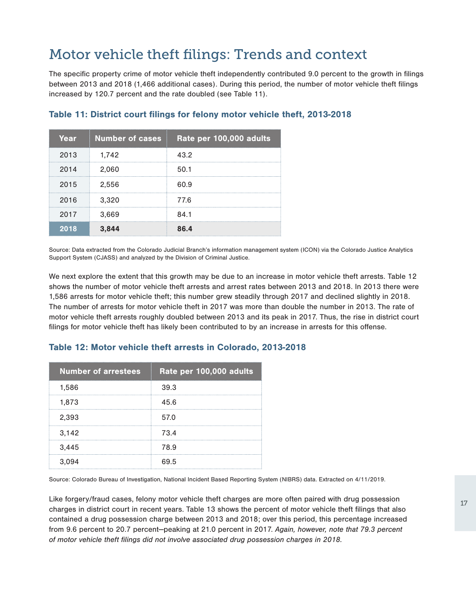# Motor vehicle theft filings: Trends and context

The specific property crime of motor vehicle theft independently contributed 9.0 percent to the growth in filings between 2013 and 2018 (1,466 additional cases). During this period, the number of motor vehicle theft filings increased by 120.7 percent and the rate doubled (see Table 11).

| Year | <b>Number of cases</b> | Rate per 100,000 adults |
|------|------------------------|-------------------------|
| 2013 | 1,742                  | 43.2                    |
| 2014 | 2,060                  | 50.1                    |
| 2015 | 2,556                  | 60 9                    |
| 2016 | 3,320                  | 776                     |
| 2017 | 3,669                  | 84.1                    |
| 2018 | 3.844                  | 86.4                    |

# Table 11: District court filings for felony motor vehicle theft, 2013-2018

Source: Data extracted from the Colorado Judicial Branch's information management system (ICON) via the Colorado Justice Analytics Support System (CJASS) and analyzed by the Division of Criminal Justice.

We next explore the extent that this growth may be due to an increase in motor vehicle theft arrests. Table 12 shows the number of motor vehicle theft arrests and arrest rates between 2013 and 2018. In 2013 there were 1,586 arrests for motor vehicle theft; this number grew steadily through 2017 and declined slightly in 2018. The number of arrests for motor vehicle theft in 2017 was more than double the number in 2013. The rate of motor vehicle theft arrests roughly doubled between 2013 and its peak in 2017. Thus, the rise in district court filings for motor vehicle theft has likely been contributed to by an increase in arrests for this offense.

| <b>Number of arrestees</b> | Rate per 100,000 adults |
|----------------------------|-------------------------|
| 1,586                      | 39.3                    |
| 1,873                      | 45.6                    |
| 2,393                      | 57.0                    |
| 3,142                      | 73.4                    |
| 3,445                      | 78.9                    |
| 3,094                      | 69.5                    |

### Table 12: Motor vehicle theft arrests in Colorado, 2013-2018

Source: Colorado Bureau of Investigation, National Incident Based Reporting System (NIBRS) data. Extracted on 4/11/2019.

Like forgery/fraud cases, felony motor vehicle theft charges are more often paired with drug possession charges in district court in recent years. Table 13 shows the percent of motor vehicle theft filings that also contained a drug possession charge between 2013 and 2018; over this period, this percentage increased from 9.6 percent to 20.7 percent—peaking at 21.0 percent in 2017. *Again, however, note that 79.3 percent of motor vehicle theft filings did not involve associated drug possession charges in 2018.*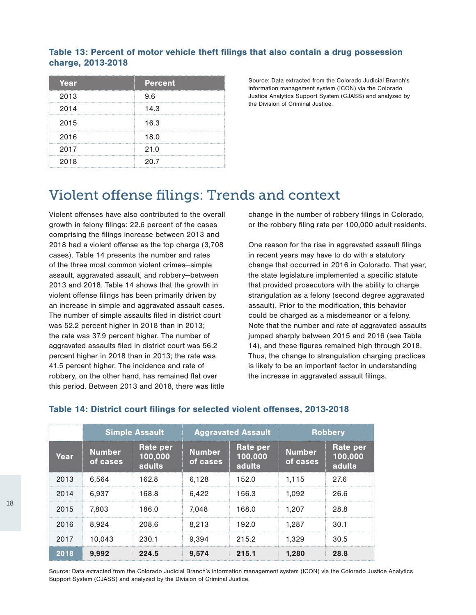# Table 13: Percent of motor vehicle theft filings that also contain a drug possession charge, 2013-2018

| Year | <b>Percent</b> |
|------|----------------|
| 2013 | 9.6            |
| 2014 | 14.3           |
| 2015 | 16.3           |
| 2016 | 18.0           |
| 2017 | 21.0           |
| 2018 | 20.7           |

Source: Data extracted from the Colorado Judicial Branch's information management system (ICON) via the Colorado Justice Analytics Support System (CJASS) and analyzed by the Division of Criminal Justice.

# Violent offense filings: Trends and context

Violent offenses have also contributed to the overall growth in felony filings: 22.6 percent of the cases comprising the filings increase between 2013 and 2018 had a violent offense as the top charge (3,708 cases). Table 14 presents the number and rates of the three most common violent crimes—simple assault, aggravated assault, and robbery—between 2013 and 2018. Table 14 shows that the growth in violent offense filings has been primarily driven by an increase in simple and aggravated assault cases. The number of simple assaults filed in district court was 52.2 percent higher in 2018 than in 2013; the rate was 37.9 percent higher. The number of aggravated assaults filed in district court was 56.2 percent higher in 2018 than in 2013; the rate was 41.5 percent higher. The incidence and rate of robbery, on the other hand, has remained flat over this period. Between 2013 and 2018, there was little

change in the number of robbery filings in Colorado, or the robbery filing rate per 100,000 adult residents.

One reason for the rise in aggravated assault filings in recent years may have to do with a statutory change that occurred in 2016 in Colorado. That year, the state legislature implemented a specific statute that provided prosecutors with the ability to charge strangulation as a felony (second degree aggravated assault). Prior to the modification, this behavior could be charged as a misdemeanor or a felony. Note that the number and rate of aggravated assaults jumped sharply between 2015 and 2016 (see Table 14), and these figures remained high through 2018. Thus, the change to strangulation charging practices is likely to be an important factor in understanding the increase in aggravated assault filings.

|      | <b>Simple Assault</b>     |                               | <b>Aggravated Assault</b> |                                             | <b>Robbery</b>            |                               |
|------|---------------------------|-------------------------------|---------------------------|---------------------------------------------|---------------------------|-------------------------------|
| Year | <b>Number</b><br>of cases | Rate per<br>100,000<br>adults | <b>Number</b><br>of cases | <b>Rate per</b><br>100,000<br><b>adults</b> | <b>Number</b><br>of cases | Rate per<br>100,000<br>adults |
| 2013 | 6.564                     | 162.8                         | 6.128                     | 152.0                                       | 1.115                     | 27.6                          |
| 2014 | 6.937                     | 168.8                         | 6.422                     | 156.3                                       | 1.092                     | 26.6                          |
| 2015 | 7.803                     | 186.0                         | 7.048                     | 168.0                                       | 1.207                     | 28.8                          |
| 2016 | 8.924                     | 208.6                         | 8.213                     | 192.0                                       | 1.287                     | 30.1                          |
| 2017 | 10.043                    | 230.1                         | 9.394                     | 215.2                                       | 1.329                     | 30.5                          |
| 2018 | 9.992                     | 224.5                         | 9.574                     | 215.1                                       | 1.280                     | 28.8                          |

# Table 14: District court filings for selected violent offenses, 2013-2018

Source: Data extracted from the Colorado Judicial Branch's information management system (ICON) via the Colorado Justice Analytics Support System (CJASS) and analyzed by the Division of Criminal Justice.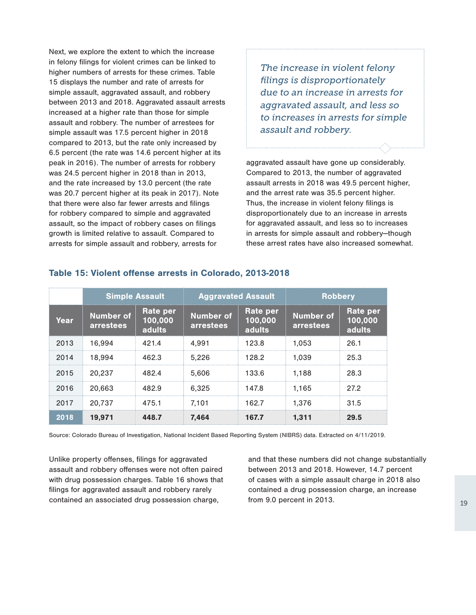Next, we explore the extent to which the increase in felony filings for violent crimes can be linked to higher numbers of arrests for these crimes. Table 15 displays the number and rate of arrests for simple assault, aggravated assault, and robbery between 2013 and 2018. Aggravated assault arrests increased at a higher rate than those for simple assault and robbery. The number of arrestees for simple assault was 17.5 percent higher in 2018 compared to 2013, but the rate only increased by 6.5 percent (the rate was 14.6 percent higher at its peak in 2016). The number of arrests for robbery was 24.5 percent higher in 2018 than in 2013, and the rate increased by 13.0 percent (the rate was 20.7 percent higher at its peak in 2017). Note that there were also far fewer arrests and filings for robbery compared to simple and aggravated assault, so the impact of robbery cases on filings growth is limited relative to assault. Compared to arrests for simple assault and robbery, arrests for

*The increase in violent felony filings is disproportionately due to an increase in arrests for aggravated assault, and less so to increases in arrests for simple assault and robbery.*

aggravated assault have gone up considerably. Compared to 2013, the number of aggravated assault arrests in 2018 was 49.5 percent higher, and the arrest rate was 35.5 percent higher. Thus, the increase in violent felony filings is disproportionately due to an increase in arrests for aggravated assault, and less so to increases in arrests for simple assault and robbery—though these arrest rates have also increased somewhat.

|      | <b>Simple Assault</b>         |                               | <b>Aggravated Assault</b> |                                      | <b>Robbery</b>                |                                      |
|------|-------------------------------|-------------------------------|---------------------------|--------------------------------------|-------------------------------|--------------------------------------|
| Year | <b>Number of</b><br>arrestees | Rate per<br>100,000<br>adults | Number of<br>arrestees    | <b>Rate per</b><br>100,000<br>adults | <b>Number of</b><br>arrestees | <b>Rate per</b><br>100,000<br>adults |
| 2013 | 16.994                        | 421.4                         | 4.991                     | 123.8                                | 1.053                         | 26.1                                 |
| 2014 | 18.994                        | 462.3                         | 5.226                     | 128.2                                | 1.039                         | 25.3                                 |
| 2015 | 20.237                        | 482.4                         | 5.606                     | 133.6                                | 1.188                         | 28.3                                 |
| 2016 | 20.663                        | 4829                          | 6.325                     | 147.8                                | 1.165                         | 272                                  |
| 2017 | 20.737                        | 475.1                         | 7.101                     | 162.7                                | 1.376                         | 31.5                                 |
| 2018 | 19.971                        | 448.7                         | 7.464                     | 167.7                                | 1.311                         | 29.5                                 |

### Table 15: Violent offense arrests in Colorado, 2013-2018

Source: Colorado Bureau of Investigation, National Incident Based Reporting System (NIBRS) data. Extracted on 4/11/2019.

Unlike property offenses, filings for aggravated assault and robbery offenses were not often paired with drug possession charges. Table 16 shows that filings for aggravated assault and robbery rarely contained an associated drug possession charge,

and that these numbers did not change substantially between 2013 and 2018. However, 14.7 percent of cases with a simple assault charge in 2018 also contained a drug possession charge, an increase from 9.0 percent in 2013.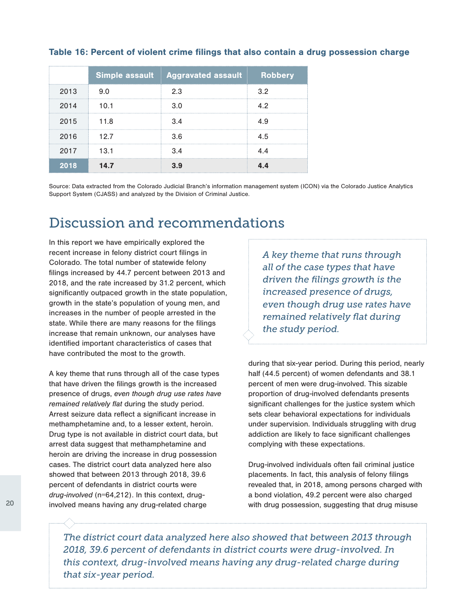|      |                       | Simple assault Aggravated assault Robbery |    |
|------|-----------------------|-------------------------------------------|----|
| 2013 | 9 O                   | 23                                        | 32 |
| 2014 | 10.1                  | 3 O                                       | 42 |
| 2015 | -- 118                | 34                                        |    |
| 2016 | 12.7                  | 3.6                                       | 45 |
| 2017 | and the state<br>13.1 | 3.4                                       |    |
| 2018 | 14.7                  |                                           |    |

### Table 16: Percent of violent crime filings that also contain a drug possession charge

Source: Data extracted from the Colorado Judicial Branch's information management system (ICON) via the Colorado Justice Analytics Support System (CJASS) and analyzed by the Division of Criminal Justice.

# Discussion and recommendations

In this report we have empirically explored the recent increase in felony district court filings in Colorado. The total number of statewide felony filings increased by 44.7 percent between 2013 and 2018, and the rate increased by 31.2 percent, which significantly outpaced growth in the state population, growth in the state's population of young men, and increases in the number of people arrested in the state. While there are many reasons for the filings increase that remain unknown, our analyses have identified important characteristics of cases that have contributed the most to the growth.

A key theme that runs through all of the case types that have driven the filings growth is the increased presence of drugs, *even though drug use rates have remained relatively flat* during the study period. Arrest seizure data reflect a significant increase in methamphetamine and, to a lesser extent, heroin. Drug type is not available in district court data, but arrest data suggest that methamphetamine and heroin are driving the increase in drug possession cases. The district court data analyzed here also showed that between 2013 through 2018, 39.6 percent of defendants in district courts were *drug-involved* (n=64,212). In this context, druginvolved means having any drug-related charge

*A key theme that runs through all of the case types that have driven the filings growth is the increased presence of drugs, even though drug use rates have remained relatively flat during the study period.* 

during that six-year period. During this period, nearly half (44.5 percent) of women defendants and 38.1 percent of men were drug-involved. This sizable proportion of drug-involved defendants presents significant challenges for the justice system which sets clear behavioral expectations for individuals under supervision. Individuals struggling with drug addiction are likely to face significant challenges complying with these expectations.

Drug-involved individuals often fail criminal justice placements. In fact, this analysis of felony filings revealed that, in 2018, among persons charged with a bond violation, 49.2 percent were also charged with drug possession, suggesting that drug misuse

*The district court data analyzed here also showed that between 2013 through 2018, 39.6 percent of defendants in district courts were drug-involved. In this context, drug-involved means having any drug-related charge during that six-year period.*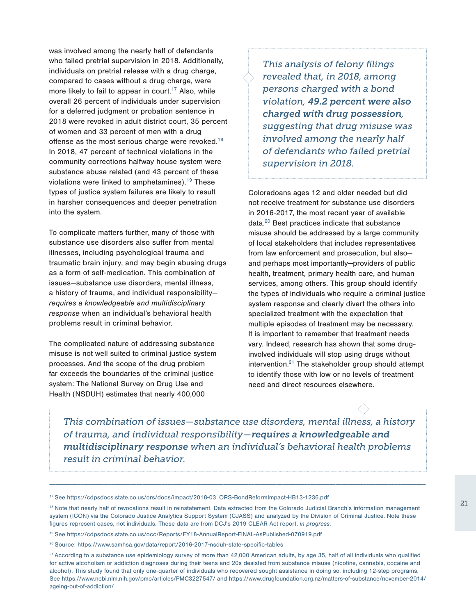was involved among the nearly half of defendants who failed pretrial supervision in 2018. Additionally, individuals on pretrial release with a drug charge, compared to cases without a drug charge, were more likely to fail to appear in court.<sup>17</sup> Also, while overall 26 percent of individuals under supervision for a deferred judgment or probation sentence in 2018 were revoked in adult district court, 35 percent of women and 33 percent of men with a drug offense as the most serious charge were revoked.<sup>18</sup> In 2018, 47 percent of technical violations in the community corrections halfway house system were substance abuse related (and 43 percent of these violations were linked to amphetamines).<sup>19</sup> These types of justice system failures are likely to result in harsher consequences and deeper penetration into the system.

To complicate matters further, many of those with substance use disorders also suffer from mental illnesses, including psychological trauma and traumatic brain injury, and may begin abusing drugs as a form of self-medication. This combination of issues—substance use disorders, mental illness, a history of trauma, and individual responsibility *requires a knowledgeable and multidisciplinary response* when an individual's behavioral health problems result in criminal behavior.

The complicated nature of addressing substance misuse is not well suited to criminal justice system processes. And the scope of the drug problem far exceeds the boundaries of the criminal justice system: The National Survey on Drug Use and Health (NSDUH) estimates that nearly 400,000

*This analysis of felony filings revealed that, in 2018, among persons charged with a bond violation, 49.2 percent were also charged with drug possession, suggesting that drug misuse was involved among the nearly half of defendants who failed pretrial supervision in 2018.* 

Coloradoans ages 12 and older needed but did not receive treatment for substance use disorders in 2016-2017, the most recent year of available data.<sup>20</sup> Best practices indicate that substance misuse should be addressed by a large community of local stakeholders that includes representatives from law enforcement and prosecution, but also and perhaps most importantly—providers of public health, treatment, primary health care, and human services, among others. This group should identify the types of individuals who require a criminal justice system response and clearly divert the others into specialized treatment with the expectation that multiple episodes of treatment may be necessary. It is important to remember that treatment needs vary. Indeed, research has shown that some druginvolved individuals will stop using drugs without intervention. $21$  The stakeholder group should attempt to identify those with low or no levels of treatment need and direct resources elsewhere.

*This combination of issues—substance use disorders, mental illness, a history of trauma, and individual responsibility—requires a knowledgeable and multidisciplinary response when an individual's behavioral health problems result in criminal behavior.*

<sup>17</sup> See [https://cdpsdocs.state.co.us/ors/docs/impact/2018-03\\_ORS-BondReformImpact-HB13-1236.pdf](https://cdpsdocs.state.co.us/ors/docs/impact/2018-03_ORS-BondReformImpact-HB13-1236.pdf)

<sup>18</sup> Note that nearly half of revocations result in reinstatement. Data extracted from the Colorado Judicial Branch's information management system (ICON) via the Colorado Justice Analytics Support System (CJASS) and analyzed by the Division of Criminal Justice. Note these figures represent cases, not individuals. These data are from DCJ's 2019 CLEAR Act report, *in progress*.

<sup>19</sup> See<https://cdpsdocs.state.co.us/occ/Reports/FY18-AnnualReport-FINAL-AsPublished-070919.pdf>

<sup>20</sup> Source: <https://www.samhsa.gov/data/report/2016-2017-nsduh-state-specific-tables>

<sup>&</sup>lt;sup>21</sup> According to a substance use epidemiology survey of more than 42,000 American adults, by age 35, half of all individuals who qualified for active alcoholism or addiction diagnoses during their teens and 20s desisted from substance misuse (nicotine, cannabis, cocaine and alcohol). This study found that only one-quarter of individuals who recovered sought assistance in doing so, including 12-step programs. See <https://www.ncbi.nlm.nih.gov/pmc/articles/PMC3227547/>and [https://www.drugfoundation.org.nz/matters-of-substance/november-2014/](https://www.drugfoundation.org.nz/matters-of-substance/november-2014/ageing-out-of-addiction/) [ageing-out-of-addiction/](https://www.drugfoundation.org.nz/matters-of-substance/november-2014/ageing-out-of-addiction/)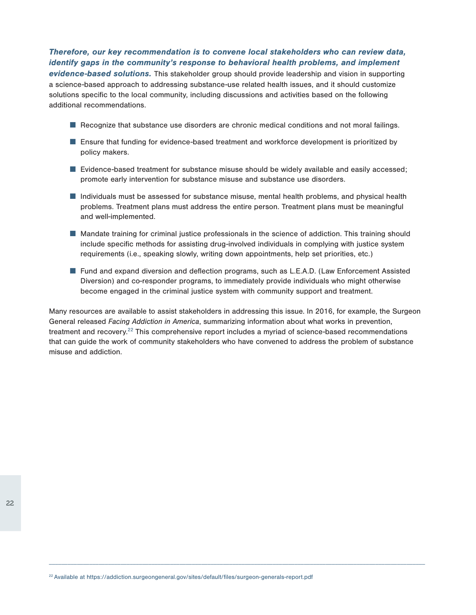# Therefore, our key recommendation is to convene local stakeholders who can review data, identify gaps in the community's response to behavioral health problems, and implement

evidence-based solutions. This stakeholder group should provide leadership and vision in supporting a science-based approach to addressing substance-use related health issues, and it should customize solutions specific to the local community, including discussions and activities based on the following additional recommendations.

- Recognize that substance use disorders are chronic medical conditions and not moral failings.
- Ensure that funding for evidence-based treatment and workforce development is prioritized by policy makers.
- Evidence-based treatment for substance misuse should be widely available and easily accessed; promote early intervention for substance misuse and substance use disorders.
- Individuals must be assessed for substance misuse, mental health problems, and physical health problems. Treatment plans must address the entire person. Treatment plans must be meaningful and well-implemented.
- Mandate training for criminal justice professionals in the science of addiction. This training should include specific methods for assisting drug-involved individuals in complying with justice system requirements (i.e., speaking slowly, writing down appointments, help set priorities, etc.)
- Fund and expand diversion and deflection programs, such as L.E.A.D. (Law Enforcement Assisted Diversion) and co-responder programs, to immediately provide individuals who might otherwise become engaged in the criminal justice system with community support and treatment.

Many resources are available to assist stakeholders in addressing this issue. In 2016, for example, the Surgeon General released *Facing Addiction in America*, summarizing information about what works in prevention, treatment and recovery.<sup>22</sup> This comprehensive report includes a myriad of science-based recommendations that can guide the work of community stakeholders who have convened to address the problem of substance misuse and addiction.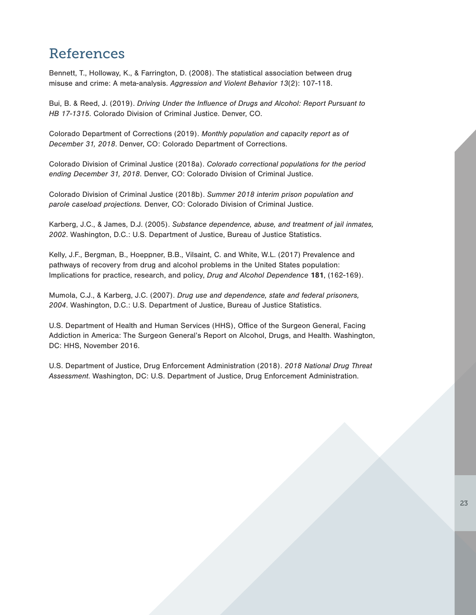# References

Bennett, T., Holloway, K., & Farrington, D. (2008). The statistical association between drug misuse and crime: A meta-analysis. *Aggression and Violent Behavior 13*(2): 107-118.

Bui, B. & Reed, J. (2019). *Driving Under the Influence of Drugs and Alcohol: Report Pursuant to HB 17-1315*. Colorado Division of Criminal Justice. Denver, CO.

Colorado Department of Corrections (2019). *Monthly population and capacity report as of December 31, 2018*. Denver, CO: Colorado Department of Corrections.

Colorado Division of Criminal Justice (2018a). *Colorado correctional populations for the period ending December 31, 2018*. Denver, CO: Colorado Division of Criminal Justice.

Colorado Division of Criminal Justice (2018b). *Summer 2018 interim prison population and parole caseload projections.* Denver, CO: Colorado Division of Criminal Justice.

Karberg, J.C., & James, D.J. (2005). *Substance dependence, abuse, and treatment of jail inmates, 2002*. Washington, D.C.: U.S. Department of Justice, Bureau of Justice Statistics.

Kelly, J.F., Bergman, B., Hoeppner, B.B., Vilsaint, C. and White, W.L. (2017) Prevalence and pathways of recovery from drug and alcohol problems in the United States population: Implications for practice, research, and policy, *Drug and Alcohol Dependence* 181, (162-169).

Mumola, C.J., & Karberg, J.C. (2007). *Drug use and dependence, state and federal prisoners, 2004*. Washington, D.C.: U.S. Department of Justice, Bureau of Justice Statistics.

U.S. Department of Health and Human Services (HHS), Office of the Surgeon General, Facing Addiction in America: The Surgeon General's Report on Alcohol, Drugs, and Health. Washington, DC: HHS, November 2016.

U.S. Department of Justice, Drug Enforcement Administration (2018). *2018 National Drug Threat Assessment*. Washington, DC: U.S. Department of Justice, Drug Enforcement Administration.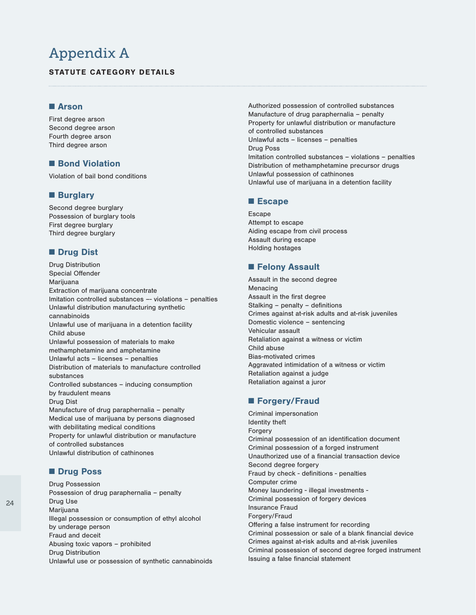# Appendix A

### STATUTE CATEGORY DETAILS

### ■ Arson

First degree arson Second degree arson Fourth degree arson Third degree arson

### ■ Bond Violation

Violation of bail bond conditions

### ■ Burglary

Second degree burglary Possession of burglary tools First degree burglary Third degree burglary

### ■ Drug Dist

Drug Distribution Special Offender Marijuana Extraction of marijuana concentrate Imitation controlled substances –- violations – penalties Unlawful distribution manufacturing synthetic cannabinoids Unlawful use of marijuana in a detention facility Child abuse Unlawful possession of materials to make methamphetamine and amphetamine Unlawful acts – licenses – penalties Distribution of materials to manufacture controlled substances Controlled substances – inducing consumption by fraudulent means Drug Dist Manufacture of drug paraphernalia – penalty Medical use of marijuana by persons diagnosed with debilitating medical conditions Property for unlawful distribution or manufacture of controlled substances Unlawful distribution of cathinones

### ■ Drug Poss

Drug Possession Possession of drug paraphernalia – penalty Drug Use Marijuana Illegal possession or consumption of ethyl alcohol by underage person Fraud and deceit Abusing toxic vapors – prohibited Drug Distribution Unlawful use or possession of synthetic cannabinoids

Authorized possession of controlled substances Manufacture of drug paraphernalia – penalty Property for unlawful distribution or manufacture of controlled substances Unlawful acts – licenses – penalties Drug Poss Imitation controlled substances – violations – penalties Distribution of methamphetamine precursor drugs Unlawful possession of cathinones Unlawful use of marijuana in a detention facility

#### ■ Escape

Escape Attempt to escape Aiding escape from civil process Assault during escape Holding hostages

### ■ Felony Assault

Assault in the second degree Menacing Assault in the first degree Stalking – penalty – definitions Crimes against at-risk adults and at-risk juveniles Domestic violence – sentencing Vehicular assault Retaliation against a witness or victim Child abuse Bias-motivated crimes Aggravated intimidation of a witness or victim Retaliation against a judge Retaliation against a juror

### ■ Forgery/Fraud

Criminal impersonation Identity theft Forgery Criminal possession of an identification document Criminal possession of a forged instrument Unauthorized use of a financial transaction device Second degree forgery Fraud by check - definitions - penalties Computer crime Money laundering - illegal investments - Criminal possession of forgery devices Insurance Fraud Forgery/Fraud Offering a false instrument for recording Criminal possession or sale of a blank financial device Crimes against at-risk adults and at-risk juveniles Criminal possession of second degree forged instrument Issuing a false financial statement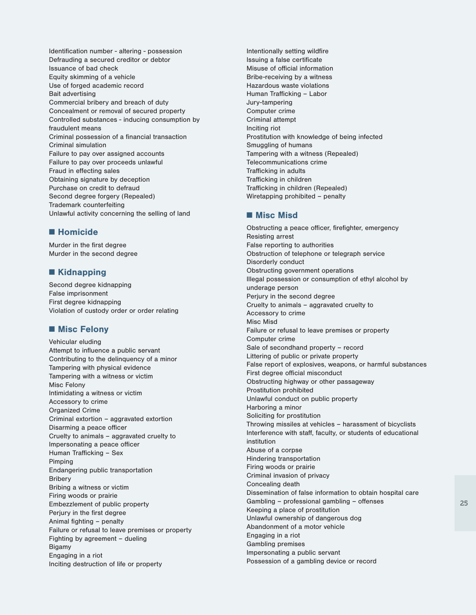Identification number - altering - possession Defrauding a secured creditor or debtor Issuance of bad check Equity skimming of a vehicle Use of forged academic record Bait advertising Commercial bribery and breach of duty Concealment or removal of secured property Controlled substances - inducing consumption by fraudulent means Criminal possession of a financial transaction Criminal simulation Failure to pay over assigned accounts Failure to pay over proceeds unlawful Fraud in effecting sales Obtaining signature by deception Purchase on credit to defraud Second degree forgery (Repealed) Trademark counterfeiting Unlawful activity concerning the selling of land

### ■ Homicide

Murder in the first degree Murder in the second degree

### ■ Kidnapping

Second degree kidnapping False imprisonment First degree kidnapping Violation of custody order or order relating

### ■ Misc Felony

Vehicular eluding Attempt to influence a public servant Contributing to the delinquency of a minor Tampering with physical evidence Tampering with a witness or victim Misc Felony Intimidating a witness or victim Accessory to crime Organized Crime Criminal extortion – aggravated extortion Disarming a peace officer Cruelty to animals – aggravated cruelty to Impersonating a peace officer Human Trafficking – Sex Pimping Endangering public transportation Bribery Bribing a witness or victim Firing woods or prairie Embezzlement of public property Perjury in the first degree Animal fighting – penalty Failure or refusal to leave premises or property Fighting by agreement – dueling Bigamy Engaging in a riot Inciting destruction of life or property

Intentionally setting wildfire Issuing a false certificate Misuse of official information Bribe-receiving by a witness Hazardous waste violations Human Trafficking – Labor Jury-tampering Computer crime Criminal attempt Inciting riot Prostitution with knowledge of being infected Smuggling of humans Tampering with a witness (Repealed) Telecommunications crime Trafficking in adults Trafficking in children Trafficking in children (Repealed) Wiretapping prohibited – penalty

### ■ Misc Misd

Obstructing a peace officer, firefighter, emergency Resisting arrest False reporting to authorities Obstruction of telephone or telegraph service Disorderly conduct Obstructing government operations Illegal possession or consumption of ethyl alcohol by underage person Perjury in the second degree Cruelty to animals – aggravated cruelty to Accessory to crime Misc Misd Failure or refusal to leave premises or property Computer crime Sale of secondhand property – record Littering of public or private property False report of explosives, weapons, or harmful substances First degree official misconduct Obstructing highway or other passageway Prostitution prohibited Unlawful conduct on public property Harboring a minor Soliciting for prostitution Throwing missiles at vehicles – harassment of bicyclists Interference with staff, faculty, or students of educational institution Abuse of a corpse Hindering transportation Firing woods or prairie Criminal invasion of privacy Concealing death Dissemination of false information to obtain hospital care Gambling – professional gambling – offenses Keeping a place of prostitution Unlawful ownership of dangerous dog Abandonment of a motor vehicle Engaging in a riot Gambling premises Impersonating a public servant Possession of a gambling device or record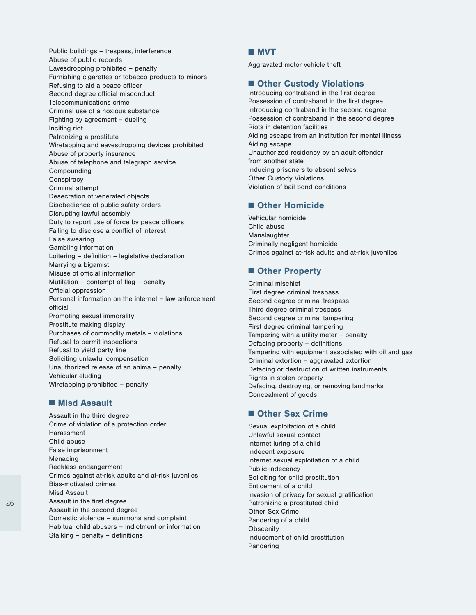Public buildings – trespass, interference Abuse of public records Eavesdropping prohibited – penalty Furnishing cigarettes or tobacco products to minors Refusing to aid a peace officer Second degree official misconduct Telecommunications crime Criminal use of a noxious substance Fighting by agreement – dueling Inciting riot Patronizing a prostitute Wiretapping and eavesdropping devices prohibited Abuse of property insurance Abuse of telephone and telegraph service Compounding Conspiracy Criminal attempt Desecration of venerated objects Disobedience of public safety orders Disrupting lawful assembly Duty to report use of force by peace officers Failing to disclose a conflict of interest False swearing Gambling information Loitering – definition – legislative declaration Marrying a bigamist Misuse of official information Mutilation – contempt of flag – penalty Official oppression Personal information on the internet – law enforcement official Promoting sexual immorality Prostitute making display Purchases of commodity metals – violations Refusal to permit inspections Refusal to yield party line Soliciting unlawful compensation Unauthorized release of an anima – penalty Vehicular eluding Wiretapping prohibited – penalty

#### ■ Misd Assault

Assault in the third degree Crime of violation of a protection order Harassment Child abuse False imprisonment Menacing Reckless endangerment Crimes against at-risk adults and at-risk juveniles Bias-motivated crimes Misd Assault Assault in the first degree Assault in the second degree Domestic violence – summons and complaint Habitual child abusers – indictment or information Stalking – penalty – definitions

#### ■ MVT

Aggravated motor vehicle theft

### ■ Other Custody Violations

Introducing contraband in the first degree Possession of contraband in the first degree Introducing contraband in the second degree Possession of contraband in the second degree Riots in detention facilities Aiding escape from an institution for mental illness Aiding escape Unauthorized residency by an adult offender from another state Inducing prisoners to absent selves Other Custody Violations Violation of bail bond conditions

### ■ Other Homicide

Vehicular homicide Child abuse Manslaughter Criminally negligent homicide Crimes against at-risk adults and at-risk juveniles

### ■ Other Property

Criminal mischief First degree criminal trespass Second degree criminal trespass Third degree criminal trespass Second degree criminal tampering First degree criminal tampering Tampering with a utility meter – penalty Defacing property – definitions Tampering with equipment associated with oil and gas Criminal extortion – aggravated extortion Defacing or destruction of written instruments Rights in stolen property Defacing, destroying, or removing landmarks Concealment of goods

### ■ Other Sex Crime

Sexual exploitation of a child Unlawful sexual contact Internet luring of a child Indecent exposure Internet sexual exploitation of a child Public indecency Soliciting for child prostitution Enticement of a child Invasion of privacy for sexual gratification Patronizing a prostituted child Other Sex Crime Pandering of a child **Obscenity** Inducement of child prostitution Pandering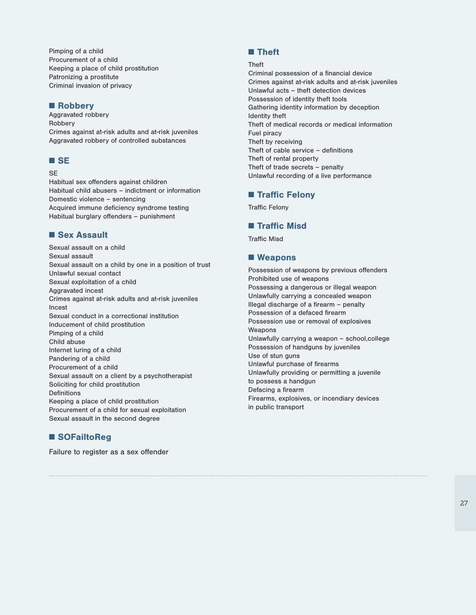Pimping of a child Procurement of a child Keeping a place of child prostitution Patronizing a prostitute Criminal invasion of privacy

# ■ Robbery

Aggravated robbery Robbery Crimes against at-risk adults and at-risk juveniles Aggravated robbery of controlled substances

### ■ SE

#### SE

Habitual sex offenders against children Habitual child abusers – indictment or information Domestic violence – sentencing Acquired immune deficiency syndrome testing Habitual burglary offenders – punishment

# ■ Sex Assault

Sexual assault on a child Sexual assault Sexual assault on a child by one in a position of trust Unlawful sexual contact Sexual exploitation of a child Aggravated incest Crimes against at-risk adults and at-risk juveniles Incest Sexual conduct in a correctional institution Inducement of child prostitution Pimping of a child Child abuse Internet luring of a child Pandering of a child Procurement of a child Sexual assault on a client by a psychotherapist Soliciting for child prostitution Definitions Keeping a place of child prostitution Procurement of a child for sexual exploitation Sexual assault in the second degree

# ■ SOFailtoReg

Failure to register as a sex offender

# ■ Theft

#### Theft

Criminal possession of a financial device Crimes against at-risk adults and at-risk juveniles Unlawful acts – theft detection devices Possession of identity theft tools Gathering identity information by deception Identity theft Theft of medical records or medical information Fuel piracy Theft by receiving Theft of cable service – definitions Theft of rental property Theft of trade secrets – penalty Unlawful recording of a live performance

## ■ Traffic Felony

Traffic Felony

### ■ Traffic Misd

Traffic Misd

### ■ Weapons

Possession of weapons by previous offenders Prohibited use of weapons Possessing a dangerous or illegal weapon Unlawfully carrying a concealed weapon Illegal discharge of a firearm – penalty Possession of a defaced firearm Possession use or removal of explosives Weapons Unlawfully carrying a weapon – school,college Possession of handguns by juveniles Use of stun guns Unlawful purchase of firearms Unlawfully providing or permitting a juvenile to possess a handgun Defacing a firearm Firearms, explosives, or incendiary devices in public transport